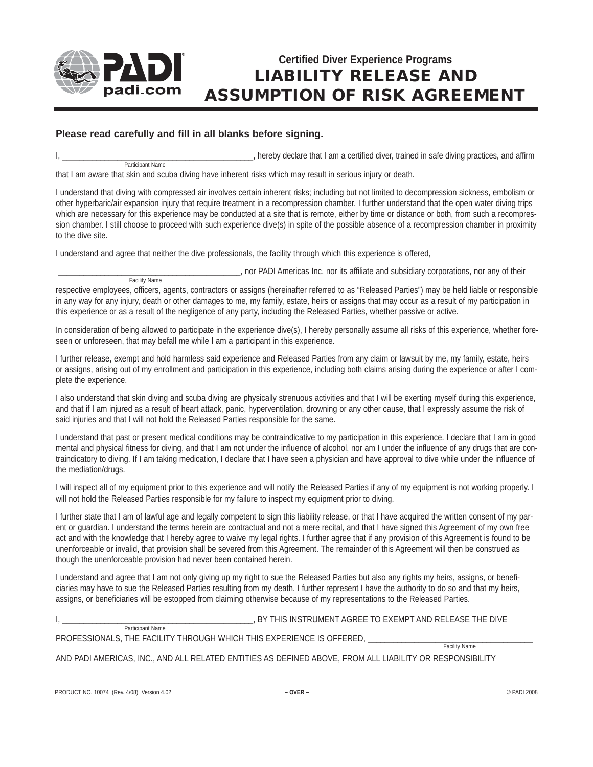

Facility Name

## **Certified Diver Experience Programs LIABILITY RELEASE AND ASSUMPTION OF RISK AGREEMENT**

## **Please read carefully and fill in all blanks before signing.**

I, \_\_\_\_\_\_\_\_\_\_\_\_\_\_\_\_\_\_\_\_\_\_\_\_\_\_\_\_\_\_\_\_\_\_\_\_\_\_\_\_\_\_\_\_\_, hereby declare that I am a certified diver, trained in safe diving practices, and affirm Participant Name

that I am aware that skin and scuba diving have inherent risks which may result in serious injury or death.

I understand that diving with compressed air involves certain inherent risks; including but not limited to decompression sickness, embolism or other hyperbaric/air expansion injury that require treatment in a recompression chamber. I further understand that the open water diving trips which are necessary for this experience may be conducted at a site that is remote, either by time or distance or both, from such a recompression chamber. I still choose to proceed with such experience dive(s) in spite of the possible absence of a recompression chamber in proximity to the dive site.

I understand and agree that neither the dive professionals, the facility through which this experience is offered,

\_\_\_\_\_\_\_\_\_\_\_\_\_\_\_\_\_\_\_\_\_\_\_\_\_\_\_\_\_\_\_\_\_\_\_\_\_\_\_\_\_\_\_, nor PADI Americas Inc. nor its affiliate and subsidiary corporations, nor any of their

respective employees, officers, agents, contractors or assigns (hereinafter referred to as "Released Parties") may be held liable or responsible in any way for any injury, death or other damages to me, my family, estate, heirs or assigns that may occur as a result of my participation in this experience or as a result of the negligence of any party, including the Released Parties, whether passive or active.

In consideration of being allowed to participate in the experience dive(s), I hereby personally assume all risks of this experience, whether foreseen or unforeseen, that may befall me while I am a participant in this experience.

I further release, exempt and hold harmless said experience and Released Parties from any claim or lawsuit by me, my family, estate, heirs or assigns, arising out of my enrollment and participation in this experience, including both claims arising during the experience or after I complete the experience.

I also understand that skin diving and scuba diving are physically strenuous activities and that I will be exerting myself during this experience, and that if I am injured as a result of heart attack, panic, hyperventilation, drowning or any other cause, that I expressly assume the risk of said injuries and that I will not hold the Released Parties responsible for the same.

I understand that past or present medical conditions may be contraindicative to my participation in this experience. I declare that I am in good mental and physical fitness for diving, and that I am not under the influence of alcohol, nor am I under the influence of any drugs that are contraindicatory to diving. If I am taking medication, I declare that I have seen a physician and have approval to dive while under the influence of the mediation/drugs.

I will inspect all of my equipment prior to this experience and will notify the Released Parties if any of my equipment is not working properly. I will not hold the Released Parties responsible for my failure to inspect my equipment prior to diving.

I further state that I am of lawful age and legally competent to sign this liability release, or that I have acquired the written consent of my parent or guardian. I understand the terms herein are contractual and not a mere recital, and that I have signed this Agreement of my own free act and with the knowledge that I hereby agree to waive my legal rights. I further agree that if any provision of this Agreement is found to be unenforceable or invalid, that provision shall be severed from this Agreement. The remainder of this Agreement will then be construed as though the unenforceable provision had never been contained herein.

I understand and agree that I am not only giving up my right to sue the Released Parties but also any rights my heirs, assigns, or beneficiaries may have to sue the Released Parties resulting from my death. I further represent I have the authority to do so and that my heirs, assigns, or beneficiaries will be estopped from claiming otherwise because of my representations to the Released Parties.

I, THIS INSTRUMENT AGREE TO EXEMPT AND RELEASE THE DIVE

 Participant Name PROFESSIONALS, THE FACILITY THROUGH WHICH THIS EXPERIENCE IS OFFERED, \_\_\_\_\_\_\_\_\_\_\_\_\_\_\_\_\_\_\_\_\_\_\_\_\_\_\_\_\_\_\_\_\_\_\_\_\_\_\_

Facility Name

AND PADI AMERICAS, INC., AND ALL RELATED ENTITIES AS DEFINED ABOVE, FROM ALL LIABILITY OR RESPONSIBILITY

PRODUCT NO. 10074 (Rev. 4/08) Version 4.02 **– OVER –** © PADI 2008